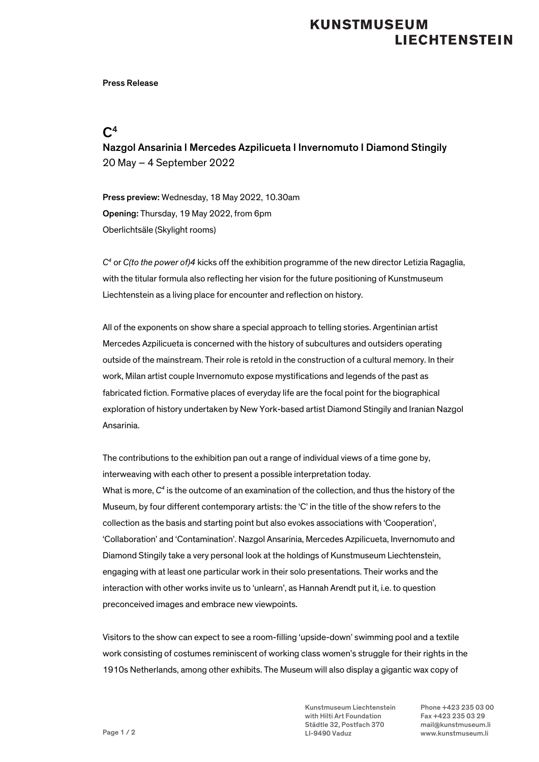# **KUNSTMUSEUM LIECHTENSTEIN**

#### Press Release

### $C<sup>4</sup>$

Nazgol Ansarinia I Mercedes Azpilicueta I Invernomuto I Diamond Stingily 20 May – 4 September 2022

Press preview: Wednesday, 18 May 2022, 10.30am Opening: Thursday, 19 May 2022, from 6pm Oberlichtsäle (Skylight rooms)

*C4* or *C(to the power of)4* kicks off the exhibition programme of the new director Letizia Ragaglia, with the titular formula also reflecting her vision for the future positioning of Kunstmuseum Liechtenstein as a living place for encounter and reflection on history.

All of the exponents on show share a special approach to telling stories. Argentinian artist Mercedes Azpilicueta is concerned with the history of subcultures and outsiders operating outside of the mainstream. Their role is retold in the construction of a cultural memory. In their work, Milan artist couple Invernomuto expose mystifications and legends of the past as fabricated fiction. Formative places of everyday life are the focal point for the biographical exploration of history undertaken by New York-based artist Diamond Stingily and Iranian Nazgol Ansarinia.

The contributions to the exhibition pan out a range of individual views of a time gone by, interweaving with each other to present a possible interpretation today. What is more, *C4* is the outcome of an examination of the collection, and thus the history of the Museum, by four different contemporary artists: the 'C' in the title of the show refers to the collection as the basis and starting point but also evokes associations with 'Cooperation', 'Collaboration' and 'Contamination'. Nazgol Ansarinia, Mercedes Azpilicueta, Invernomuto and Diamond Stingily take a very personal look at the holdings of Kunstmuseum Liechtenstein, engaging with at least one particular work in their solo presentations. Their works and the interaction with other works invite us to 'unlearn', as Hannah Arendt put it, i.e. to question preconceived images and embrace new viewpoints.

Visitors to the show can expect to see a room-filling 'upside-down' swimming pool and a textile work consisting of costumes reminiscent of working class women's struggle for their rights in the 1910s Netherlands, among other exhibits. The Museum will also display a gigantic wax copy of

> Kunstmuseum Liechtenstein Phone +423 235 03 00 with Hilti Art Foundation Fax +423 235 03 29 Städtle 32, Postfach 370 mail@kunstmuseum.li LI-9490 Vaduz www.kunstmuseum.li